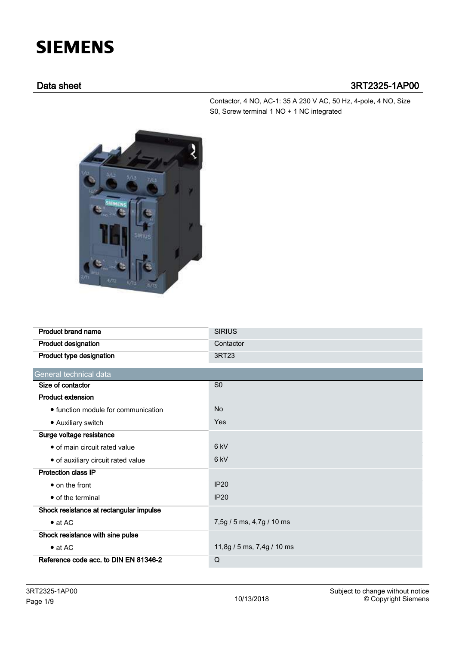## **SIEMENS**

## Data sheet 3RT2325-1AP00

Contactor, 4 NO, AC-1: 35 A 230 V AC, 50 Hz, 4-pole, 4 NO, Size S0, Screw terminal 1 NO + 1 NC integrated



| <b>Product brand name</b>               | <b>SIRIUS</b>              |
|-----------------------------------------|----------------------------|
| <b>Product designation</b>              | Contactor                  |
| Product type designation                | 3RT23                      |
|                                         |                            |
| General technical data                  |                            |
| Size of contactor                       | S <sub>0</sub>             |
| <b>Product extension</b>                |                            |
| • function module for communication     | <b>No</b>                  |
| • Auxiliary switch                      | Yes                        |
| Surge voltage resistance                |                            |
| • of main circuit rated value           | $6$ kV                     |
| · of auxiliary circuit rated value      | 6 <sub>kV</sub>            |
| <b>Protection class IP</b>              |                            |
| $\bullet$ on the front                  | <b>IP20</b>                |
| • of the terminal                       | <b>IP20</b>                |
| Shock resistance at rectangular impulse |                            |
| $\bullet$ at AC                         | 7,5g / 5 ms, 4,7g / 10 ms  |
| Shock resistance with sine pulse        |                            |
| $\bullet$ at AC                         | 11,8g / 5 ms, 7,4g / 10 ms |
| Reference code acc. to DIN EN 81346-2   | Q                          |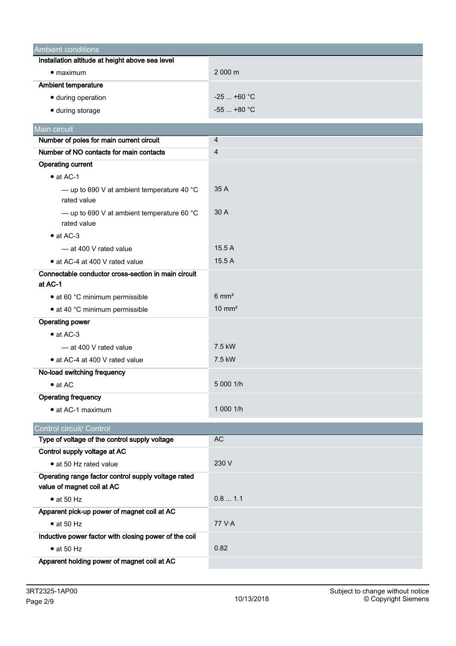| <b>Ambient conditions</b>                                                         |                   |
|-----------------------------------------------------------------------------------|-------------------|
| Installation altitude at height above sea level                                   |                   |
| $\bullet$ maximum                                                                 | 2 000 m           |
| <b>Ambient temperature</b>                                                        |                   |
| · during operation                                                                | $-25$ +60 °C      |
| · during storage                                                                  | $-55$ +80 °C      |
| Main circuit                                                                      |                   |
| Number of poles for main current circuit                                          | $\overline{4}$    |
| Number of NO contacts for main contacts                                           | $\overline{4}$    |
| <b>Operating current</b>                                                          |                   |
| $\bullet$ at AC-1                                                                 |                   |
| - up to 690 V at ambient temperature 40 $^{\circ}$ C<br>rated value               | 35 A              |
| - up to 690 V at ambient temperature 60 $^{\circ}$ C<br>rated value               | 30 A              |
| $\bullet$ at AC-3                                                                 |                   |
| - at 400 V rated value                                                            | 15.5 A            |
| • at AC-4 at 400 V rated value                                                    | 15.5 A            |
| Connectable conductor cross-section in main circuit                               |                   |
| at AC-1                                                                           |                   |
| • at 60 °C minimum permissible                                                    | $6 \text{ mm}^2$  |
| • at 40 °C minimum permissible                                                    | $10 \text{ mm}^2$ |
| <b>Operating power</b>                                                            |                   |
| $\bullet$ at AC-3                                                                 |                   |
| - at 400 V rated value                                                            | 7.5 kW            |
| • at AC-4 at 400 V rated value                                                    | 7.5 kW            |
| No-load switching frequency                                                       |                   |
| $\bullet$ at AC                                                                   | 5 000 1/h         |
| <b>Operating frequency</b>                                                        |                   |
| • at AC-1 maximum                                                                 | 1 000 1/h         |
| Control circuit/ Control                                                          |                   |
| Type of voltage of the control supply voltage                                     | <b>AC</b>         |
| Control supply voltage at AC                                                      |                   |
| · at 50 Hz rated value                                                            | 230 V             |
| Operating range factor control supply voltage rated<br>value of magnet coil at AC |                   |
| $\bullet$ at 50 Hz                                                                | 0.8 1.1           |
| Apparent pick-up power of magnet coil at AC                                       |                   |
| $\bullet$ at 50 Hz                                                                | 77 V.A            |
| Inductive power factor with closing power of the coil                             |                   |
| $\bullet$ at 50 Hz                                                                | 0.82              |
| Apparent holding power of magnet coil at AC                                       |                   |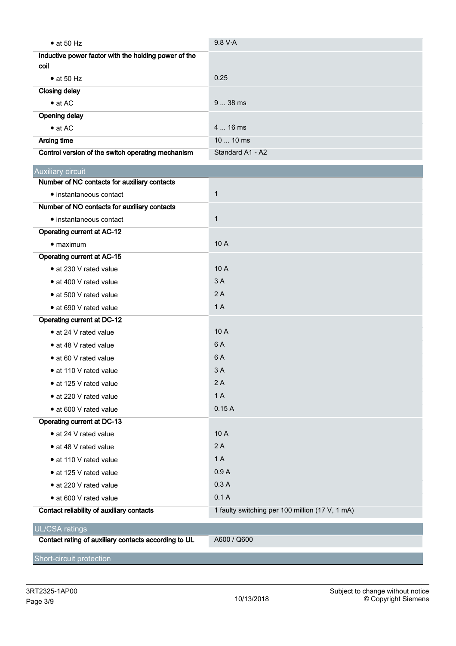| $\bullet$ at 50 Hz                                   | 9.8 V·A                                         |
|------------------------------------------------------|-------------------------------------------------|
| Inductive power factor with the holding power of the |                                                 |
| coil                                                 |                                                 |
| $\bullet$ at 50 Hz                                   | 0.25                                            |
| <b>Closing delay</b>                                 |                                                 |
| $\bullet$ at AC                                      | $938$ ms                                        |
| <b>Opening delay</b>                                 |                                                 |
| $\bullet$ at AC                                      | 4  16 ms                                        |
| Arcing time                                          | 10  10 ms                                       |
| Control version of the switch operating mechanism    | Standard A1 - A2                                |
| <b>Auxiliary circuit</b>                             |                                                 |
| Number of NC contacts for auxiliary contacts         |                                                 |
| • instantaneous contact                              | $\mathbf{1}$                                    |
| Number of NO contacts for auxiliary contacts         |                                                 |
| · instantaneous contact                              | $\mathbf{1}$                                    |
| <b>Operating current at AC-12</b>                    |                                                 |
| $\bullet$ maximum                                    | 10 A                                            |
| <b>Operating current at AC-15</b>                    |                                                 |
| • at 230 V rated value                               | 10A                                             |
| • at 400 V rated value                               | 3A                                              |
| • at 500 V rated value                               | 2A                                              |
| • at 690 V rated value                               | 1A                                              |
| <b>Operating current at DC-12</b>                    |                                                 |
| • at 24 V rated value                                | 10 A                                            |
| • at 48 V rated value                                | 6 A                                             |
| • at 60 V rated value                                | 6 A                                             |
| • at 110 V rated value                               | 3A                                              |
| · at 125 V rated value                               | 2A                                              |
| • at 220 V rated value                               | 1A                                              |
| • at 600 V rated value                               | 0.15A                                           |
| Operating current at DC-13                           |                                                 |
| • at 24 V rated value                                | 10 A                                            |
| • at 48 V rated value                                | 2A                                              |
| • at 110 V rated value                               | 1 A                                             |
| • at 125 V rated value                               | 0.9A                                            |
| • at 220 V rated value                               | 0.3A                                            |
| • at 600 V rated value                               | 0.1A                                            |
| Contact reliability of auxiliary contacts            | 1 faulty switching per 100 million (17 V, 1 mA) |
| <b>UL/CSA ratings</b>                                |                                                 |
| Contact rating of auxiliary contacts according to UL | A600 / Q600                                     |
|                                                      |                                                 |

Short-circuit protection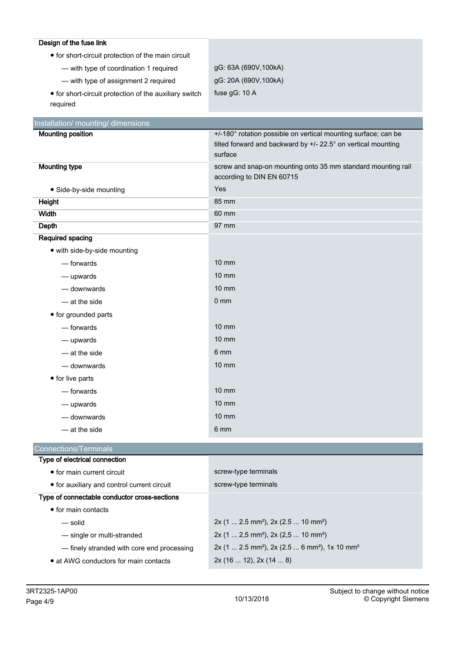| Design of the fuse link<br>• for short-circuit protection of the main circuit<br>gG: 63A (690V, 100kA)<br>- with type of coordination 1 required<br>gG: 20A (690V, 100kA)<br>- with type of assignment 2 required<br>fuse gG: 10 A<br>• for short-circuit protection of the auxiliary switch<br>required<br>Installation/ mounting/ dimensions<br><b>Mounting position</b><br>+/-180° rotation possible on vertical mounting surface; can be<br>tilted forward and backward by +/- 22.5° on vertical mounting<br>surface<br><b>Mounting type</b><br>screw and snap-on mounting onto 35 mm standard mounting rail<br>according to DIN EN 60715<br>Yes<br>· Side-by-side mounting<br>Height<br>85 mm<br>Width<br>60 mm<br>97 mm<br><b>Depth</b><br>Required spacing<br>• with side-by-side mounting<br>$10 \text{ mm}$<br>— forwards<br>$10 \text{ mm}$<br>— upwards<br>$10 \text{ mm}$<br>— downwards<br>0 <sub>mm</sub><br>- at the side<br>• for grounded parts<br>$10 \text{ mm}$<br>— forwards<br>$10 \text{ mm}$<br>— upwards |  |  |  |  |
|-----------------------------------------------------------------------------------------------------------------------------------------------------------------------------------------------------------------------------------------------------------------------------------------------------------------------------------------------------------------------------------------------------------------------------------------------------------------------------------------------------------------------------------------------------------------------------------------------------------------------------------------------------------------------------------------------------------------------------------------------------------------------------------------------------------------------------------------------------------------------------------------------------------------------------------------------------------------------------------------------------------------------------------|--|--|--|--|
|                                                                                                                                                                                                                                                                                                                                                                                                                                                                                                                                                                                                                                                                                                                                                                                                                                                                                                                                                                                                                                   |  |  |  |  |
|                                                                                                                                                                                                                                                                                                                                                                                                                                                                                                                                                                                                                                                                                                                                                                                                                                                                                                                                                                                                                                   |  |  |  |  |
|                                                                                                                                                                                                                                                                                                                                                                                                                                                                                                                                                                                                                                                                                                                                                                                                                                                                                                                                                                                                                                   |  |  |  |  |
|                                                                                                                                                                                                                                                                                                                                                                                                                                                                                                                                                                                                                                                                                                                                                                                                                                                                                                                                                                                                                                   |  |  |  |  |
|                                                                                                                                                                                                                                                                                                                                                                                                                                                                                                                                                                                                                                                                                                                                                                                                                                                                                                                                                                                                                                   |  |  |  |  |
|                                                                                                                                                                                                                                                                                                                                                                                                                                                                                                                                                                                                                                                                                                                                                                                                                                                                                                                                                                                                                                   |  |  |  |  |
|                                                                                                                                                                                                                                                                                                                                                                                                                                                                                                                                                                                                                                                                                                                                                                                                                                                                                                                                                                                                                                   |  |  |  |  |
|                                                                                                                                                                                                                                                                                                                                                                                                                                                                                                                                                                                                                                                                                                                                                                                                                                                                                                                                                                                                                                   |  |  |  |  |
|                                                                                                                                                                                                                                                                                                                                                                                                                                                                                                                                                                                                                                                                                                                                                                                                                                                                                                                                                                                                                                   |  |  |  |  |
|                                                                                                                                                                                                                                                                                                                                                                                                                                                                                                                                                                                                                                                                                                                                                                                                                                                                                                                                                                                                                                   |  |  |  |  |
|                                                                                                                                                                                                                                                                                                                                                                                                                                                                                                                                                                                                                                                                                                                                                                                                                                                                                                                                                                                                                                   |  |  |  |  |
|                                                                                                                                                                                                                                                                                                                                                                                                                                                                                                                                                                                                                                                                                                                                                                                                                                                                                                                                                                                                                                   |  |  |  |  |
|                                                                                                                                                                                                                                                                                                                                                                                                                                                                                                                                                                                                                                                                                                                                                                                                                                                                                                                                                                                                                                   |  |  |  |  |
|                                                                                                                                                                                                                                                                                                                                                                                                                                                                                                                                                                                                                                                                                                                                                                                                                                                                                                                                                                                                                                   |  |  |  |  |
|                                                                                                                                                                                                                                                                                                                                                                                                                                                                                                                                                                                                                                                                                                                                                                                                                                                                                                                                                                                                                                   |  |  |  |  |
|                                                                                                                                                                                                                                                                                                                                                                                                                                                                                                                                                                                                                                                                                                                                                                                                                                                                                                                                                                                                                                   |  |  |  |  |
|                                                                                                                                                                                                                                                                                                                                                                                                                                                                                                                                                                                                                                                                                                                                                                                                                                                                                                                                                                                                                                   |  |  |  |  |
|                                                                                                                                                                                                                                                                                                                                                                                                                                                                                                                                                                                                                                                                                                                                                                                                                                                                                                                                                                                                                                   |  |  |  |  |
|                                                                                                                                                                                                                                                                                                                                                                                                                                                                                                                                                                                                                                                                                                                                                                                                                                                                                                                                                                                                                                   |  |  |  |  |
|                                                                                                                                                                                                                                                                                                                                                                                                                                                                                                                                                                                                                                                                                                                                                                                                                                                                                                                                                                                                                                   |  |  |  |  |
|                                                                                                                                                                                                                                                                                                                                                                                                                                                                                                                                                                                                                                                                                                                                                                                                                                                                                                                                                                                                                                   |  |  |  |  |
|                                                                                                                                                                                                                                                                                                                                                                                                                                                                                                                                                                                                                                                                                                                                                                                                                                                                                                                                                                                                                                   |  |  |  |  |
| 6 mm<br>- at the side                                                                                                                                                                                                                                                                                                                                                                                                                                                                                                                                                                                                                                                                                                                                                                                                                                                                                                                                                                                                             |  |  |  |  |
| $10 \text{ mm}$<br>- downwards                                                                                                                                                                                                                                                                                                                                                                                                                                                                                                                                                                                                                                                                                                                                                                                                                                                                                                                                                                                                    |  |  |  |  |
| • for live parts                                                                                                                                                                                                                                                                                                                                                                                                                                                                                                                                                                                                                                                                                                                                                                                                                                                                                                                                                                                                                  |  |  |  |  |
| $10 \text{ mm}$<br>- forwards                                                                                                                                                                                                                                                                                                                                                                                                                                                                                                                                                                                                                                                                                                                                                                                                                                                                                                                                                                                                     |  |  |  |  |
| $10 \text{ mm}$<br>— upwards                                                                                                                                                                                                                                                                                                                                                                                                                                                                                                                                                                                                                                                                                                                                                                                                                                                                                                                                                                                                      |  |  |  |  |
| 10 mm<br>- downwards                                                                                                                                                                                                                                                                                                                                                                                                                                                                                                                                                                                                                                                                                                                                                                                                                                                                                                                                                                                                              |  |  |  |  |
| 6 mm<br>- at the side                                                                                                                                                                                                                                                                                                                                                                                                                                                                                                                                                                                                                                                                                                                                                                                                                                                                                                                                                                                                             |  |  |  |  |
| <b>Connections/Terminals</b>                                                                                                                                                                                                                                                                                                                                                                                                                                                                                                                                                                                                                                                                                                                                                                                                                                                                                                                                                                                                      |  |  |  |  |
| Type of electrical connection                                                                                                                                                                                                                                                                                                                                                                                                                                                                                                                                                                                                                                                                                                                                                                                                                                                                                                                                                                                                     |  |  |  |  |
| screw-type terminals<br>• for main current circuit                                                                                                                                                                                                                                                                                                                                                                                                                                                                                                                                                                                                                                                                                                                                                                                                                                                                                                                                                                                |  |  |  |  |
| screw-type terminals<br>• for auxiliary and control current circuit                                                                                                                                                                                                                                                                                                                                                                                                                                                                                                                                                                                                                                                                                                                                                                                                                                                                                                                                                               |  |  |  |  |
| Type of connectable conductor cross-sections                                                                                                                                                                                                                                                                                                                                                                                                                                                                                                                                                                                                                                                                                                                                                                                                                                                                                                                                                                                      |  |  |  |  |
| • for main contacts                                                                                                                                                                                                                                                                                                                                                                                                                                                                                                                                                                                                                                                                                                                                                                                                                                                                                                                                                                                                               |  |  |  |  |
| 2x (1  2.5 mm <sup>2</sup> ), 2x (2.5  10 mm <sup>2</sup> )<br>— solid                                                                                                                                                                                                                                                                                                                                                                                                                                                                                                                                                                                                                                                                                                                                                                                                                                                                                                                                                            |  |  |  |  |
| 2x (1  2,5 mm <sup>2</sup> ), 2x (2,5  10 mm <sup>2</sup> )<br>- single or multi-stranded                                                                                                                                                                                                                                                                                                                                                                                                                                                                                                                                                                                                                                                                                                                                                                                                                                                                                                                                         |  |  |  |  |
| 2x (1  2.5 mm <sup>2</sup> ), 2x (2.5  6 mm <sup>2</sup> ), 1x 10 mm <sup>2</sup><br>- finely stranded with core end processing                                                                                                                                                                                                                                                                                                                                                                                                                                                                                                                                                                                                                                                                                                                                                                                                                                                                                                   |  |  |  |  |
| 2x(1612), 2x(148)<br>• at AWG conductors for main contacts                                                                                                                                                                                                                                                                                                                                                                                                                                                                                                                                                                                                                                                                                                                                                                                                                                                                                                                                                                        |  |  |  |  |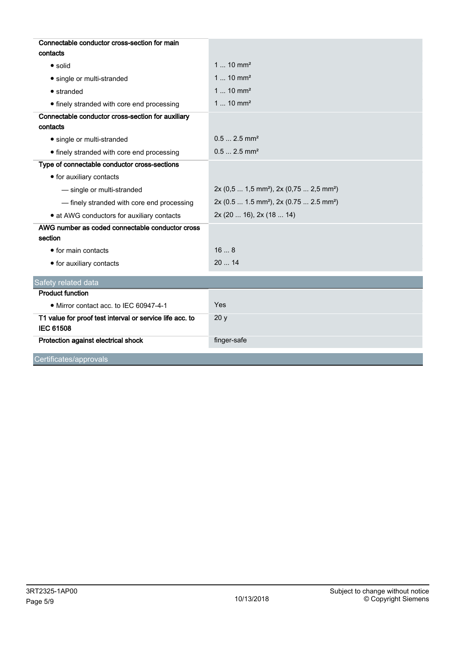| Connectable conductor cross-section for main                                 |                                                                 |
|------------------------------------------------------------------------------|-----------------------------------------------------------------|
| contacts                                                                     |                                                                 |
| $\bullet$ solid                                                              | $110$ mm <sup>2</sup>                                           |
| • single or multi-stranded                                                   | $110$ mm <sup>2</sup>                                           |
| $\bullet$ stranded                                                           | $110$ mm <sup>2</sup>                                           |
| • finely stranded with core end processing                                   | $110$ mm <sup>2</sup>                                           |
| Connectable conductor cross-section for auxiliary                            |                                                                 |
| contacts                                                                     |                                                                 |
| • single or multi-stranded                                                   | $0.5$ 2.5 mm <sup>2</sup>                                       |
| • finely stranded with core end processing                                   | $0.5 2.5$ mm <sup>2</sup>                                       |
| Type of connectable conductor cross-sections                                 |                                                                 |
| • for auxiliary contacts                                                     |                                                                 |
| - single or multi-stranded                                                   | $2x (0,5  1,5 mm2)$ , $2x (0,75  2,5 mm2)$                      |
| - finely stranded with core end processing                                   | 2x (0.5  1.5 mm <sup>2</sup> ), 2x (0.75  2.5 mm <sup>2</sup> ) |
| • at AWG conductors for auxiliary contacts                                   | 2x (20  16), 2x (18  14)                                        |
| AWG number as coded connectable conductor cross                              |                                                                 |
| section                                                                      |                                                                 |
| • for main contacts                                                          | 168                                                             |
| • for auxiliary contacts                                                     | 2014                                                            |
| Safety related data                                                          |                                                                 |
| <b>Product function</b>                                                      |                                                                 |
| • Mirror contact acc. to IEC 60947-4-1                                       | Yes                                                             |
| T1 value for proof test interval or service life acc. to<br><b>IEC 61508</b> | 20y                                                             |
| Protection against electrical shock                                          | finger-safe                                                     |
| Certificates/approvals                                                       |                                                                 |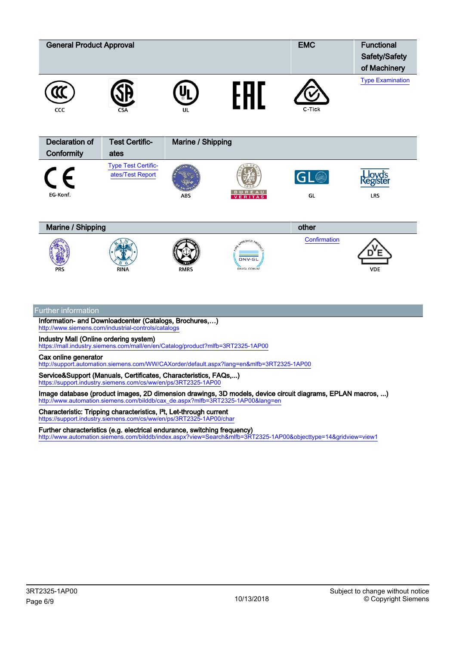| <b>General Product Approval</b>                                                                                                                                                             |                                                |                   |                                         | <b>EMC</b>   | <b>Functional</b><br>Safety/Safety<br>of Machinery |
|---------------------------------------------------------------------------------------------------------------------------------------------------------------------------------------------|------------------------------------------------|-------------------|-----------------------------------------|--------------|----------------------------------------------------|
| ccc                                                                                                                                                                                         |                                                | UL                |                                         | C-Tick       | <b>Type Examination</b>                            |
| <b>Declaration of</b><br>Conformity                                                                                                                                                         | <b>Test Certific-</b><br>ates                  | Marine / Shipping |                                         |              |                                                    |
| EG-Konf.                                                                                                                                                                                    | <b>Type Test Certific-</b><br>ates/Test Report | ABS               | <b>VERITAS</b>                          | GL           | <b>LRS</b>                                         |
| Marine / Shipping                                                                                                                                                                           |                                                |                   |                                         | other        |                                                    |
|                                                                                                                                                                                             | RINA                                           | <b>RMRS</b>       | PROVED<br><b>DNV·GI</b><br>DNVGL.COM/AF | Confirmation | <b>VDE</b>                                         |
| Further information                                                                                                                                                                         |                                                |                   |                                         |              |                                                    |
| Information- and Downloadcenter (Catalogs, Brochures,)<br>http://www.siemens.com/industrial-controls/catalogs                                                                               |                                                |                   |                                         |              |                                                    |
| Industry Mall (Online ordering system)<br>https://mall.industry.siemens.com/mall/en/en/Catalog/product?mlfb=3RT2325-1AP00                                                                   |                                                |                   |                                         |              |                                                    |
| Cax online generator<br>http://support.automation.siemens.com/WW/CAXorder/default.aspx?lang=en&mlfb=3RT2325-1AP00                                                                           |                                                |                   |                                         |              |                                                    |
| Service&Support (Manuals, Certificates, Characteristics, FAQs,)<br>https://support.industry.siemens.com/cs/ww/en/ps/3RT2325-1AP00                                                           |                                                |                   |                                         |              |                                                    |
| Image database (product images, 2D dimension drawings, 3D models, device circuit diagrams, EPLAN macros, )<br>http://www.automation.siemens.com/bilddb/cax_de.aspx?mlfb=3RT2325-1AP00⟨=en   |                                                |                   |                                         |              |                                                    |
| Characteristic: Tripping characteristics, I <sup>2</sup> t, Let-through current<br>https://support.industry.siemens.com/cs/ww/en/ps/3RT2325-1AP00/char                                      |                                                |                   |                                         |              |                                                    |
| Further characteristics (e.g. electrical endurance, switching frequency)<br>http://www.automation.siemens.com/bilddb/index.aspx?view=Search&mlfb=3RT2325-1AP00&objecttype=14&gridview=view1 |                                                |                   |                                         |              |                                                    |
|                                                                                                                                                                                             |                                                |                   |                                         |              |                                                    |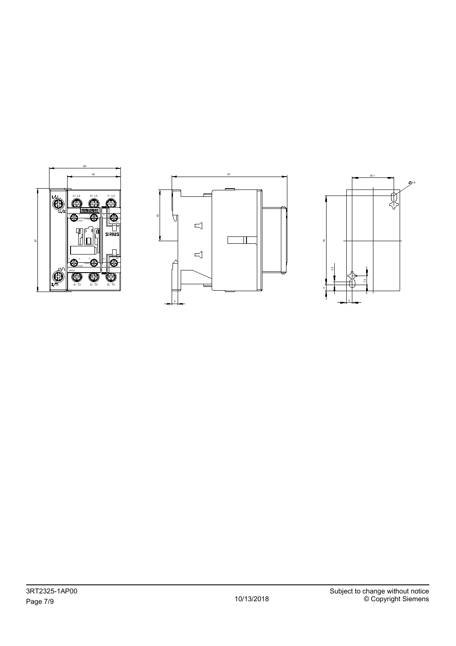



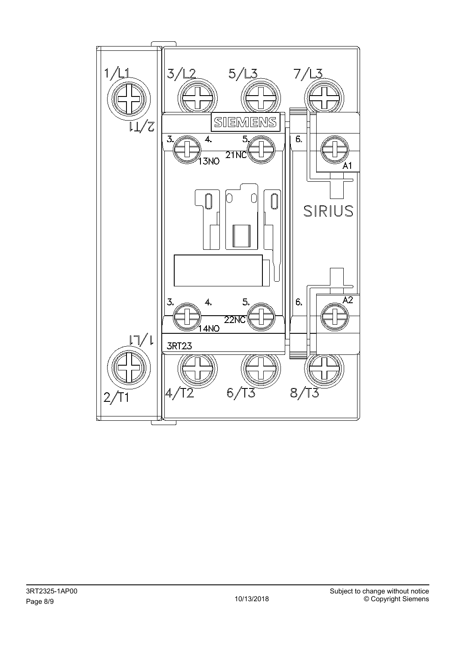